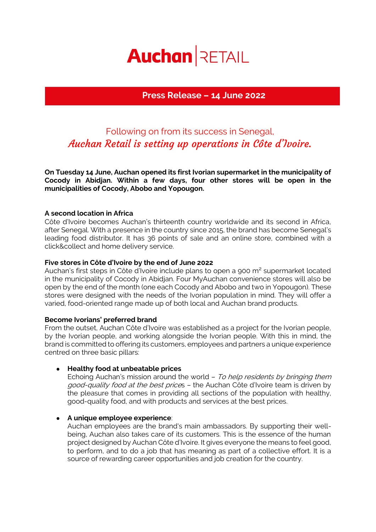# **Auchan RETAIL**

## **Press Release – 14 June 2022**

# Following on from its success in Senegal, Auchan Retail is setting up operations in Côte d'Ivoire.

**On Tuesday 14 June, Auchan opened its first Ivorian supermarket in the municipality of Cocody in Abidjan. Within a few days, four other stores will be open in the municipalities of Cocody, Abobo and Yopougon.** 

#### **A second location in Africa**

Côte d'Ivoire becomes Auchan's thirteenth country worldwide and its second in Africa, after Senegal. With a presence in the country since 2015, the brand has become Senegal's leading food distributor. It has 36 points of sale and an online store, combined with a click&collect and home delivery service.

#### **Five stores in Côte d'Ivoire by the end of June 2022**

Auchan's first steps in Côte d'Ivoire include plans to open a 900 m² supermarket located in the municipality of Cocody in Abidjan. Four MyAuchan convenience stores will also be open by the end of the month (one each Cocody and Abobo and two in Yopougon). These stores were designed with the needs of the Ivorian population in mind. They will offer a varied, food-oriented range made up of both local and Auchan brand products.

#### **Become Ivorians' preferred brand**

From the outset, Auchan Côte d'Ivoire was established as a project for the Ivorian people, by the Ivorian people, and working alongside the Ivorian people. With this in mind, the brand is committed to offering its customers, employees and partners a unique experience centred on three basic pillars:

#### ● **Healthy food at unbeatable prices**

Echoing Auchan's mission around the world - To help residents by bringing them good-quality food at the best prices - the Auchan Côte d'Ivoire team is driven by the pleasure that comes in providing all sections of the population with healthy, good-quality food, and with products and services at the best prices.

#### ● **A unique employee experience**:

Auchan employees are the brand's main ambassadors. By supporting their wellbeing, Auchan also takes care of its customers. This is the essence of the human project designed by Auchan Côte d'Ivoire. It gives everyone the means to feel good, to perform, and to do a job that has meaning as part of a collective effort. It is a source of rewarding career opportunities and job creation for the country.